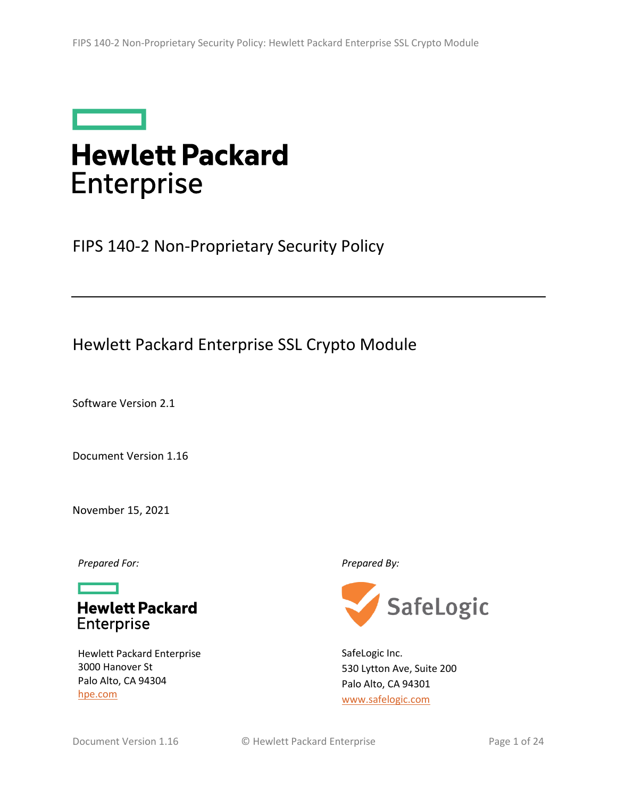

# **Hewlett Packard Enterprise**

FIPS 140-2 Non-Proprietary Security Policy

## Hewlett Packard Enterprise SSL Crypto Module

Software Version 2.1

Document Version 1.16

November 15, 2021

*Prepared For: Prepared By:*

**Hewlett Packard** Enterprise

Hewlett Packard Enterprise 3000 Hanover St Palo Alto, CA 94304 [hpe.com](http://hpe.com/)



SafeLogic Inc. 530 Lytton Ave, Suite 200 Palo Alto, CA 94301 [www.safelogic.com](http://www.safelogic.com/)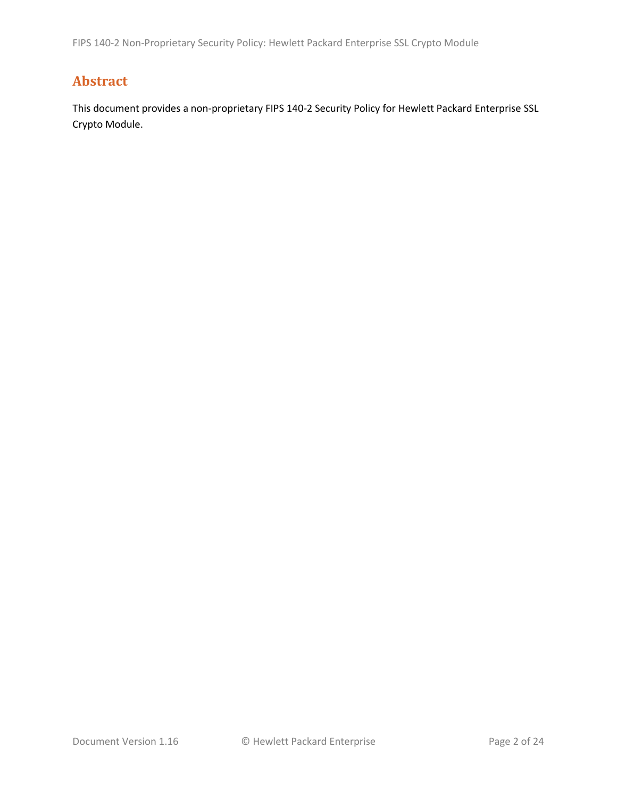## **Abstract**

This document provides a non-proprietary FIPS 140-2 Security Policy for Hewlett Packard Enterprise SSL Crypto Module.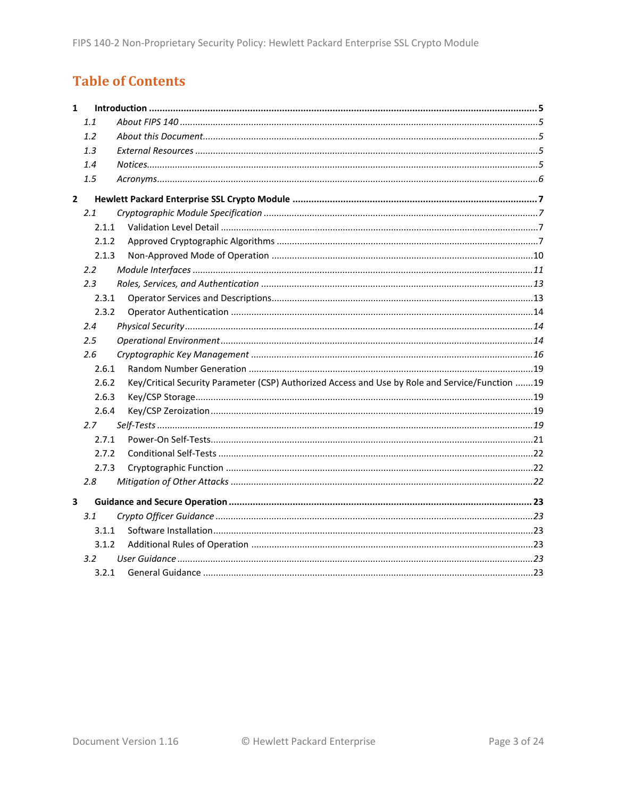## **Table of Contents**

| $\mathbf{1}$ |         |                                                                                                 |  |
|--------------|---------|-------------------------------------------------------------------------------------------------|--|
|              | 1.1     |                                                                                                 |  |
|              | 1.2     |                                                                                                 |  |
|              | 1.3     |                                                                                                 |  |
|              | 1.4     |                                                                                                 |  |
|              | 1.5     |                                                                                                 |  |
| $\mathbf{2}$ |         |                                                                                                 |  |
|              | 2.1     |                                                                                                 |  |
|              | 2.1.1   |                                                                                                 |  |
|              | 2.1.2   |                                                                                                 |  |
|              | 2.1.3   |                                                                                                 |  |
|              | 2.2     |                                                                                                 |  |
|              | 2.3     |                                                                                                 |  |
|              | 2.3.1   |                                                                                                 |  |
|              | 2.3.2   |                                                                                                 |  |
|              | 2.4     |                                                                                                 |  |
|              | $2.5\,$ |                                                                                                 |  |
|              | 2.6     |                                                                                                 |  |
|              | 2.6.1   |                                                                                                 |  |
|              | 2.6.2   | Key/Critical Security Parameter (CSP) Authorized Access and Use by Role and Service/Function 19 |  |
|              | 2.6.3   |                                                                                                 |  |
|              | 2.6.4   |                                                                                                 |  |
|              | 2.7     |                                                                                                 |  |
|              | 2.7.1   |                                                                                                 |  |
|              | 2.7.2   |                                                                                                 |  |
|              | 2.7.3   |                                                                                                 |  |
|              | 2.8     |                                                                                                 |  |
| 3            |         |                                                                                                 |  |
|              | 3.1     |                                                                                                 |  |
|              | 3.1.1   |                                                                                                 |  |
|              | 3.1.2   |                                                                                                 |  |
|              | 3.2     |                                                                                                 |  |
|              | 3.2.1   |                                                                                                 |  |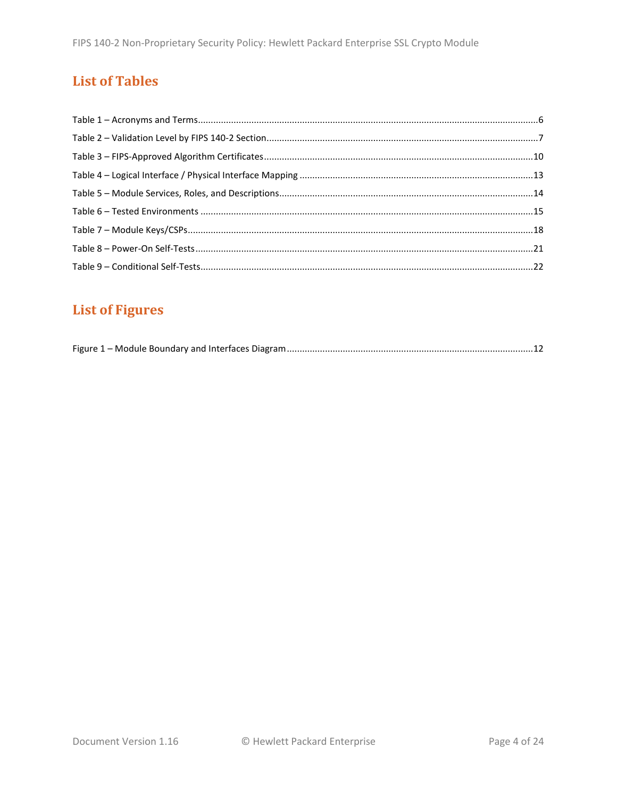## **List of Tables**

## **List of Figures**

|--|--|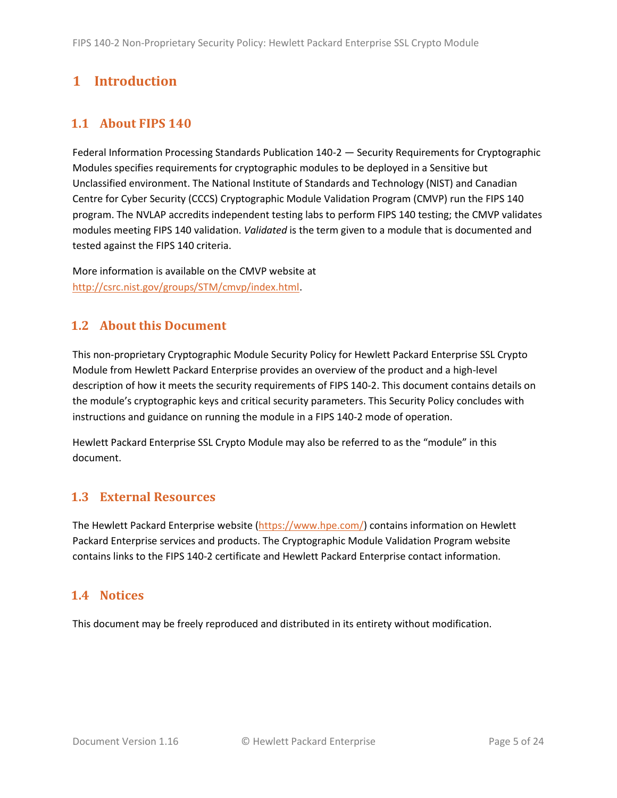## <span id="page-4-0"></span>**1 Introduction**

### <span id="page-4-1"></span>**1.1 About FIPS 140**

Federal Information Processing Standards Publication 140-2 — Security Requirements for Cryptographic Modules specifies requirements for cryptographic modules to be deployed in a Sensitive but Unclassified environment. The National Institute of Standards and Technology (NIST) and Canadian Centre for Cyber Security (CCCS) Cryptographic Module Validation Program (CMVP) run the FIPS 140 program. The NVLAP accredits independent testing labs to perform FIPS 140 testing; the CMVP validates modules meeting FIPS 140 validation. *Validated* is the term given to a module that is documented and tested against the FIPS 140 criteria.

More information is available on the CMVP website at [http://csrc.nist.gov/groups/STM/cmvp/index.html.](http://csrc.nist.gov/groups/STM/cmvp/index.html)

### <span id="page-4-2"></span>**1.2 About this Document**

This non-proprietary Cryptographic Module Security Policy for Hewlett Packard Enterprise SSL Crypto Module from Hewlett Packard Enterprise provides an overview of the product and a high-level description of how it meets the security requirements of FIPS 140-2. This document contains details on the module's cryptographic keys and critical security parameters. This Security Policy concludes with instructions and guidance on running the module in a FIPS 140-2 mode of operation.

Hewlett Packard Enterprise SSL Crypto Module may also be referred to as the "module" in this document.

### <span id="page-4-3"></span>**1.3 External Resources**

The Hewlett Packard Enterprise website [\(https://www.hpe.com/\)](https://www.hpe.com/) contains information on Hewlett Packard Enterprise services and products. The Cryptographic Module Validation Program website contains links to the FIPS 140-2 certificate and Hewlett Packard Enterprise contact information.

### <span id="page-4-4"></span>**1.4 Notices**

This document may be freely reproduced and distributed in its entirety without modification.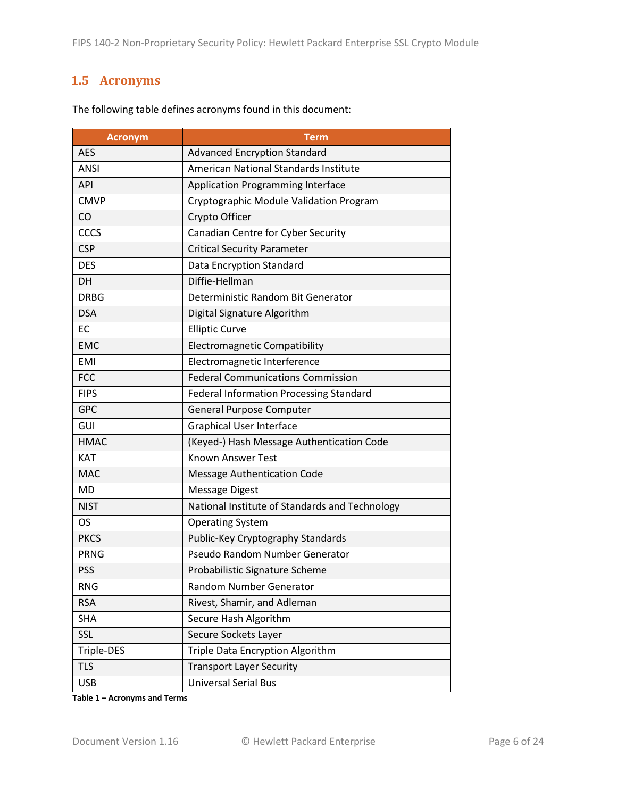### <span id="page-5-0"></span>**1.5 Acronyms**

| <b>Acronym</b> | Term                                           |  |
|----------------|------------------------------------------------|--|
| <b>AES</b>     | <b>Advanced Encryption Standard</b>            |  |
| <b>ANSI</b>    | American National Standards Institute          |  |
| <b>API</b>     | <b>Application Programming Interface</b>       |  |
| <b>CMVP</b>    | Cryptographic Module Validation Program        |  |
| CO             | Crypto Officer                                 |  |
| CCCS           | Canadian Centre for Cyber Security             |  |
| <b>CSP</b>     | <b>Critical Security Parameter</b>             |  |
| <b>DES</b>     | Data Encryption Standard                       |  |
| <b>DH</b>      | Diffie-Hellman                                 |  |
| <b>DRBG</b>    | Deterministic Random Bit Generator             |  |
| <b>DSA</b>     | Digital Signature Algorithm                    |  |
| <b>EC</b>      | <b>Elliptic Curve</b>                          |  |
| <b>EMC</b>     | <b>Electromagnetic Compatibility</b>           |  |
| <b>EMI</b>     | Electromagnetic Interference                   |  |
| <b>FCC</b>     | <b>Federal Communications Commission</b>       |  |
| <b>FIPS</b>    | <b>Federal Information Processing Standard</b> |  |
| <b>GPC</b>     | <b>General Purpose Computer</b>                |  |
| GUI            | <b>Graphical User Interface</b>                |  |
| <b>HMAC</b>    | (Keyed-) Hash Message Authentication Code      |  |
| <b>KAT</b>     | <b>Known Answer Test</b>                       |  |
| <b>MAC</b>     | <b>Message Authentication Code</b>             |  |
| <b>MD</b>      | <b>Message Digest</b>                          |  |
| <b>NIST</b>    | National Institute of Standards and Technology |  |
| <b>OS</b>      | <b>Operating System</b>                        |  |
| <b>PKCS</b>    | Public-Key Cryptography Standards              |  |
| <b>PRNG</b>    | Pseudo Random Number Generator                 |  |
| <b>PSS</b>     | Probabilistic Signature Scheme                 |  |
| <b>RNG</b>     | Random Number Generator                        |  |
| <b>RSA</b>     | Rivest, Shamir, and Adleman                    |  |
| <b>SHA</b>     | Secure Hash Algorithm                          |  |
| SSL            | Secure Sockets Layer                           |  |
| Triple-DES     | Triple Data Encryption Algorithm               |  |
| <b>TLS</b>     | <b>Transport Layer Security</b>                |  |
| <b>USB</b>     | <b>Universal Serial Bus</b>                    |  |

The following table defines acronyms found in this document:

**Table 1 – Acronyms and Terms**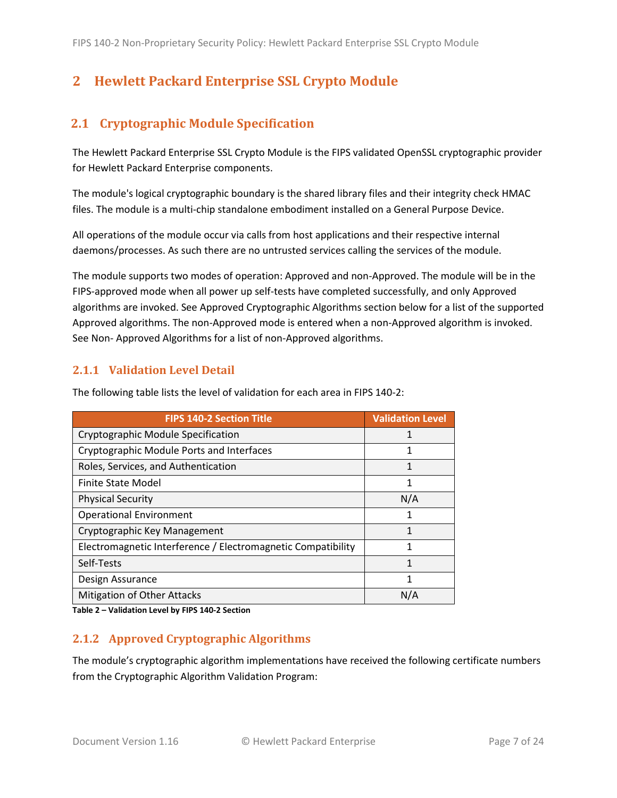## <span id="page-6-0"></span>**2 Hewlett Packard Enterprise SSL Crypto Module**

### <span id="page-6-1"></span>**2.1 Cryptographic Module Specification**

The Hewlett Packard Enterprise SSL Crypto Module is the FIPS validated OpenSSL cryptographic provider for Hewlett Packard Enterprise components.

The module's logical cryptographic boundary is the shared library files and their integrity check HMAC files. The module is a multi-chip standalone embodiment installed on a General Purpose Device.

All operations of the module occur via calls from host applications and their respective internal daemons/processes. As such there are no untrusted services calling the services of the module.

The module supports two modes of operation: Approved and non-Approved. The module will be in the FIPS-approved mode when all power up self-tests have completed successfully, and only Approved algorithms are invoked. See Approved Cryptographic Algorithms section below for a list of the supported Approved algorithms. The non-Approved mode is entered when a non-Approved algorithm is invoked. See Non- Approved Algorithms for a list of non-Approved algorithms.

#### <span id="page-6-2"></span>**2.1.1 Validation Level Detail**

| <b>FIPS 140-2 Section Title</b>                              | <b>Validation Level</b> |
|--------------------------------------------------------------|-------------------------|
| Cryptographic Module Specification                           | 1                       |
| Cryptographic Module Ports and Interfaces                    |                         |
| Roles, Services, and Authentication                          | 1                       |
| <b>Finite State Model</b>                                    | 1                       |
| <b>Physical Security</b>                                     | N/A                     |
| <b>Operational Environment</b>                               | 1                       |
| Cryptographic Key Management                                 | 1                       |
| Electromagnetic Interference / Electromagnetic Compatibility | 1                       |
| Self-Tests                                                   | 1                       |
| Design Assurance                                             | 1                       |
| <b>Mitigation of Other Attacks</b>                           | N/A                     |

The following table lists the level of validation for each area in FIPS 140-2:

**Table 2 – Validation Level by FIPS 140-2 Section**

#### <span id="page-6-3"></span>**2.1.2 Approved Cryptographic Algorithms**

The module's cryptographic algorithm implementations have received the following certificate numbers from the Cryptographic Algorithm Validation Program: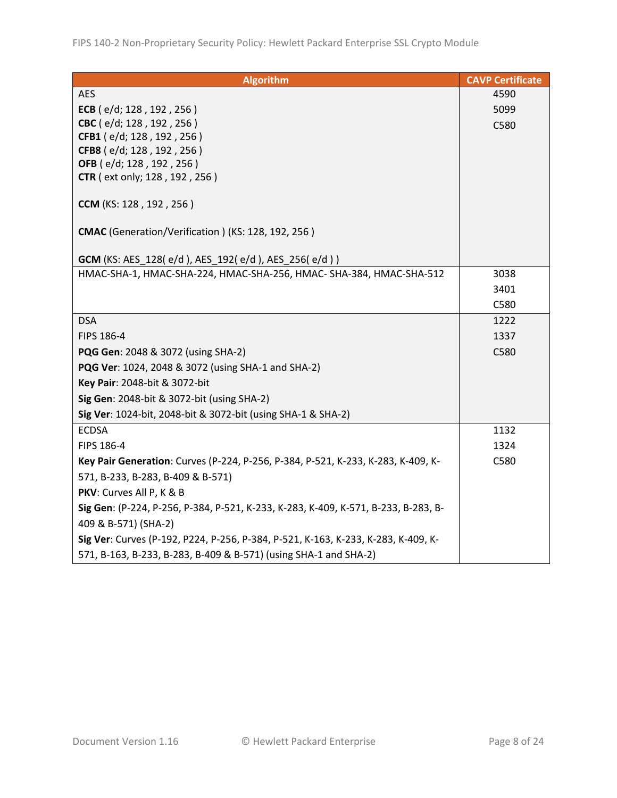| <b>Algorithm</b>                                                                   | <b>CAVP Certificate</b> |
|------------------------------------------------------------------------------------|-------------------------|
| <b>AES</b>                                                                         | 4590                    |
| ECB (e/d; 128, 192, 256)                                                           | 5099                    |
| CBC (e/d; 128, 192, 256)                                                           | C580                    |
| CFB1 (e/d; 128, 192, 256)                                                          |                         |
| CFB8 (e/d; 128, 192, 256)                                                          |                         |
| OFB (e/d; 128, 192, 256)<br><b>CTR</b> (ext only; 128, 192, 256)                   |                         |
|                                                                                    |                         |
| CCM (KS: 128, 192, 256)                                                            |                         |
| CMAC (Generation/Verification) (KS: 128, 192, 256)                                 |                         |
| GCM (KS: AES_128(e/d), AES_192(e/d), AES_256(e/d))                                 |                         |
| HMAC-SHA-1, HMAC-SHA-224, HMAC-SHA-256, HMAC- SHA-384, HMAC-SHA-512                | 3038                    |
|                                                                                    | 3401                    |
|                                                                                    | C580                    |
| <b>DSA</b>                                                                         | 1222                    |
| FIPS 186-4                                                                         | 1337                    |
| <b>PQG Gen: 2048 &amp; 3072 (using SHA-2)</b>                                      | C580                    |
| PQG Ver: 1024, 2048 & 3072 (using SHA-1 and SHA-2)                                 |                         |
| Key Pair: 2048-bit & 3072-bit                                                      |                         |
| Sig Gen: 2048-bit & 3072-bit (using SHA-2)                                         |                         |
| Sig Ver: 1024-bit, 2048-bit & 3072-bit (using SHA-1 & SHA-2)                       |                         |
| <b>ECDSA</b>                                                                       | 1132                    |
| FIPS 186-4                                                                         | 1324                    |
| Key Pair Generation: Curves (P-224, P-256, P-384, P-521, K-233, K-283, K-409, K-   | C580                    |
| 571, B-233, B-283, B-409 & B-571)                                                  |                         |
| PKV: Curves All P, K & B                                                           |                         |
| Sig Gen: (P-224, P-256, P-384, P-521, K-233, K-283, K-409, K-571, B-233, B-283, B- |                         |
| 409 & B-571) (SHA-2)                                                               |                         |
| Sig Ver: Curves (P-192, P224, P-256, P-384, P-521, K-163, K-233, K-283, K-409, K-  |                         |
| 571, B-163, B-233, B-283, B-409 & B-571) (using SHA-1 and SHA-2)                   |                         |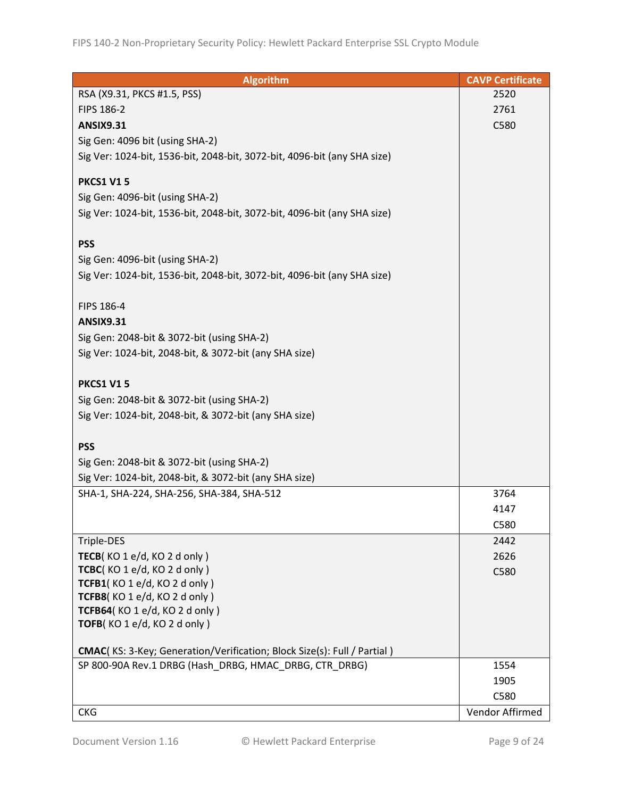| <b>Algorithm</b>                                                                | <b>CAVP Certificate</b> |
|---------------------------------------------------------------------------------|-------------------------|
| RSA (X9.31, PKCS #1.5, PSS)                                                     | 2520                    |
| FIPS 186-2                                                                      | 2761                    |
| <b>ANSIX9.31</b>                                                                | C580                    |
| Sig Gen: 4096 bit (using SHA-2)                                                 |                         |
| Sig Ver: 1024-bit, 1536-bit, 2048-bit, 3072-bit, 4096-bit (any SHA size)        |                         |
|                                                                                 |                         |
| <b>PKCS1 V15</b>                                                                |                         |
| Sig Gen: 4096-bit (using SHA-2)                                                 |                         |
| Sig Ver: 1024-bit, 1536-bit, 2048-bit, 3072-bit, 4096-bit (any SHA size)        |                         |
|                                                                                 |                         |
| <b>PSS</b>                                                                      |                         |
| Sig Gen: 4096-bit (using SHA-2)                                                 |                         |
| Sig Ver: 1024-bit, 1536-bit, 2048-bit, 3072-bit, 4096-bit (any SHA size)        |                         |
|                                                                                 |                         |
| FIPS 186-4                                                                      |                         |
| <b>ANSIX9.31</b>                                                                |                         |
| Sig Gen: 2048-bit & 3072-bit (using SHA-2)                                      |                         |
| Sig Ver: 1024-bit, 2048-bit, & 3072-bit (any SHA size)                          |                         |
| <b>PKCS1 V15</b>                                                                |                         |
| Sig Gen: 2048-bit & 3072-bit (using SHA-2)                                      |                         |
| Sig Ver: 1024-bit, 2048-bit, & 3072-bit (any SHA size)                          |                         |
|                                                                                 |                         |
| <b>PSS</b>                                                                      |                         |
| Sig Gen: 2048-bit & 3072-bit (using SHA-2)                                      |                         |
| Sig Ver: 1024-bit, 2048-bit, & 3072-bit (any SHA size)                          |                         |
| SHA-1, SHA-224, SHA-256, SHA-384, SHA-512                                       | 3764                    |
|                                                                                 | 4147                    |
|                                                                                 | C580                    |
| Triple-DES                                                                      | 2442                    |
| TECB(KO 1 e/d, KO 2 d only)                                                     | 2626                    |
| TCBC(KO 1 e/d, KO 2 d only)                                                     | C580                    |
| TCFB1(KO 1 e/d, KO 2 d only)                                                    |                         |
| TCFB8(KO 1 e/d, KO 2 d only)                                                    |                         |
| TCFB64(KO 1 e/d, KO 2 d only)                                                   |                         |
| TOFB(KO1e/d, KO2d only)                                                         |                         |
| <b>CMAC</b> (KS: 3-Key; Generation/Verification; Block Size(s): Full / Partial) |                         |
| SP 800-90A Rev.1 DRBG (Hash DRBG, HMAC DRBG, CTR DRBG)                          | 1554                    |
|                                                                                 | 1905                    |
|                                                                                 | C580                    |
| <b>CKG</b>                                                                      | Vendor Affirmed         |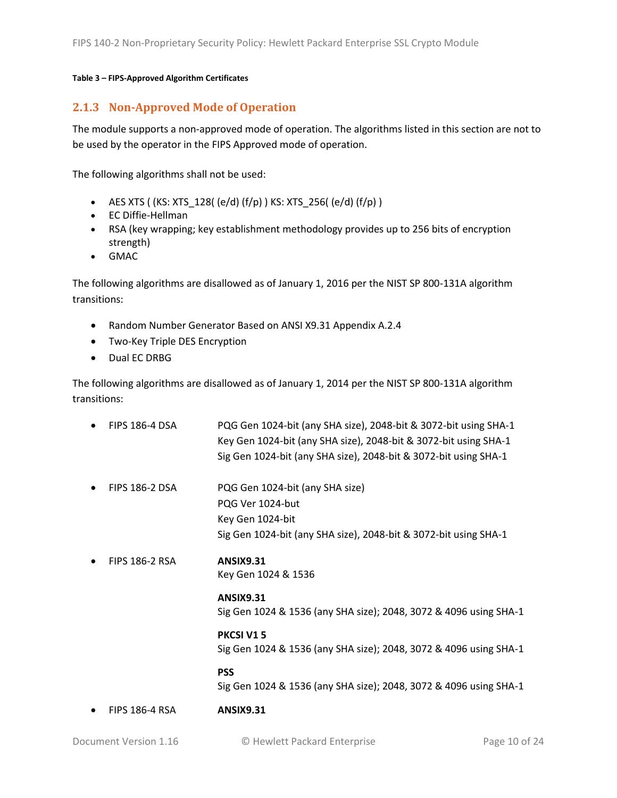#### **Table 3 – FIPS-Approved Algorithm Certificates**

#### <span id="page-9-0"></span>**2.1.3 Non-Approved Mode of Operation**

The module supports a non-approved mode of operation. The algorithms listed in this section are not to be used by the operator in the FIPS Approved mode of operation.

The following algorithms shall not be used:

- AES XTS (  $(KS: XTS_128$   $(e/d)$   $(f/p)$  )  $KS: XTS_256$   $(e/d)$   $(f/p)$  )
- EC Diffie-Hellman
- RSA (key wrapping; key establishment methodology provides up to 256 bits of encryption strength)
- GMAC

The following algorithms are disallowed as of January 1, 2016 per the NIST SP 800-131A algorithm transitions:

- Random Number Generator Based on ANSI X9.31 Appendix A.2.4
- Two-Key Triple DES Encryption
- Dual EC DRBG

The following algorithms are disallowed as of January 1, 2014 per the NIST SP 800-131A algorithm transitions:

| <b>FIPS 186-4 DSA</b> | PQG Gen 1024-bit (any SHA size), 2048-bit & 3072-bit using SHA-1<br>Key Gen 1024-bit (any SHA size), 2048-bit & 3072-bit using SHA-1<br>Sig Gen 1024-bit (any SHA size), 2048-bit & 3072-bit using SHA-1 |
|-----------------------|----------------------------------------------------------------------------------------------------------------------------------------------------------------------------------------------------------|
| <b>FIPS 186-2 DSA</b> | PQG Gen 1024-bit (any SHA size)<br>PQG Ver 1024-but<br>Key Gen 1024-bit<br>Sig Gen 1024-bit (any SHA size), 2048-bit & 3072-bit using SHA-1                                                              |
| <b>FIPS 186-2 RSA</b> | <b>ANSIX9.31</b><br>Key Gen 1024 & 1536                                                                                                                                                                  |
|                       | <b>ANSIX9.31</b><br>Sig Gen 1024 & 1536 (any SHA size); 2048, 3072 & 4096 using SHA-1                                                                                                                    |
|                       | PKCSI V15<br>Sig Gen 1024 & 1536 (any SHA size); 2048, 3072 & 4096 using SHA-1                                                                                                                           |
|                       | <b>PSS</b><br>Sig Gen 1024 & 1536 (any SHA size); 2048, 3072 & 4096 using SHA-1                                                                                                                          |
| <b>FIPS 186-4 RSA</b> | <b>ANSIX9.31</b>                                                                                                                                                                                         |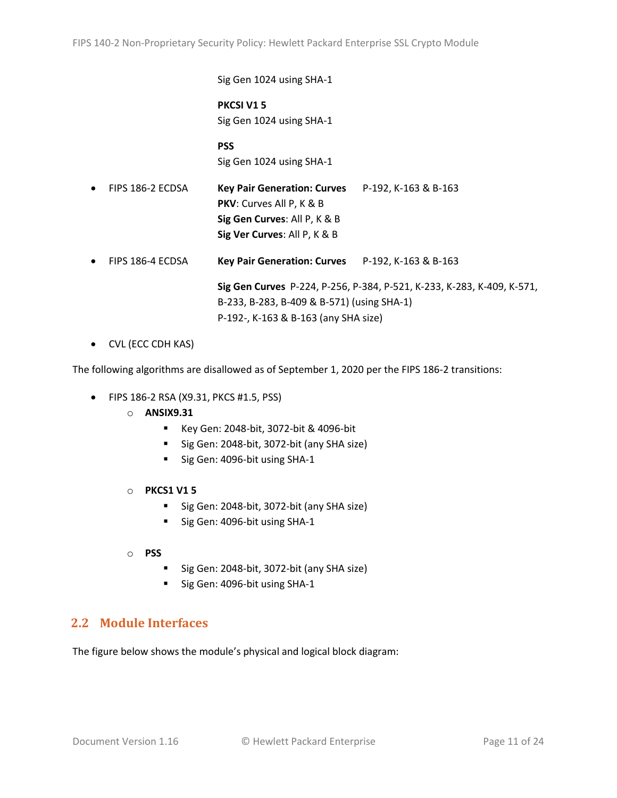Sig Gen 1024 using SHA-1

**PKCSI V1 5** Sig Gen 1024 using SHA-1

**PSS** Sig Gen 1024 using SHA-1

- FIPS 186-2 ECDSA **Key Pair Generation: Curves** P-192, K-163 & B-163 **PKV**: Curves All P, K & B **Sig Gen Curves**: All P, K & B **Sig Ver Curves**: All P, K & B
- FIPS 186-4 ECDSA **Key Pair Generation: Curves** P-192, K-163 & B-163

**Sig Gen Curves** P-224, P-256, P-384, P-521, K-233, K-283, K-409, K-571, B-233, B-283, B-409 & B-571) (using SHA-1) P-192-, K-163 & B-163 (any SHA size)

• CVL (ECC CDH KAS)

The following algorithms are disallowed as of September 1, 2020 per the FIPS 186-2 transitions:

- FIPS 186-2 RSA (X9.31, PKCS #1.5, PSS)
	- o **ANSIX9.31**
		- Key Gen: 2048-bit, 3072-bit & 4096-bit
		- Sig Gen: 2048-bit, 3072-bit (any SHA size)
		- Sig Gen: 4096-bit using SHA-1
	- o **PKCS1 V1 5**
		- Sig Gen: 2048-bit, 3072-bit (any SHA size)
		- Sig Gen: 4096-bit using SHA-1
	- o **PSS**
		- Sig Gen: 2048-bit, 3072-bit (any SHA size)
		- Sig Gen: 4096-bit using SHA-1

### <span id="page-10-0"></span>**2.2 Module Interfaces**

The figure below shows the module's physical and logical block diagram: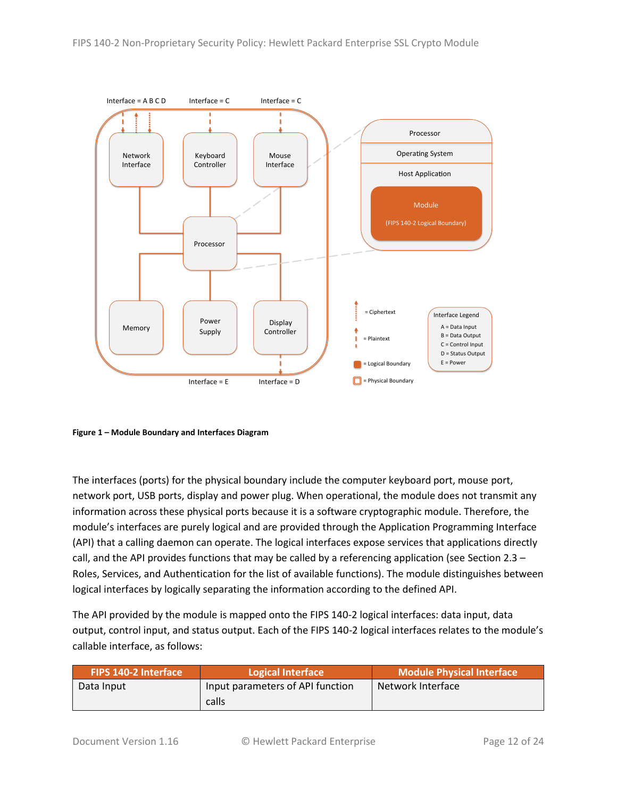

<span id="page-11-0"></span>**Figure 1 – Module Boundary and Interfaces Diagram**

The interfaces (ports) for the physical boundary include the computer keyboard port, mouse port, network port, USB ports, display and power plug. When operational, the module does not transmit any information across these physical ports because it is a software cryptographic module. Therefore, the module's interfaces are purely logical and are provided through the Application Programming Interface (API) that a calling daemon can operate. The logical interfaces expose services that applications directly call, and the API provides functions that may be called by a referencing application (see Sectio[n 2.3](#page-12-0) – [Roles, Services, and Authentication](#page-12-0) for the list of available functions). The module distinguishes between logical interfaces by logically separating the information according to the defined API.

The API provided by the module is mapped onto the FIPS 140-2 logical interfaces: data input, data output, control input, and status output. Each of the FIPS 140-2 logical interfaces relates to the module's callable interface, as follows:

| <b>FIPS 140-2 Interface</b> | Module Physical Interface<br>Logical Interface |                   |
|-----------------------------|------------------------------------------------|-------------------|
| Data Input                  | Input parameters of API function               | Network Interface |
|                             | calls                                          |                   |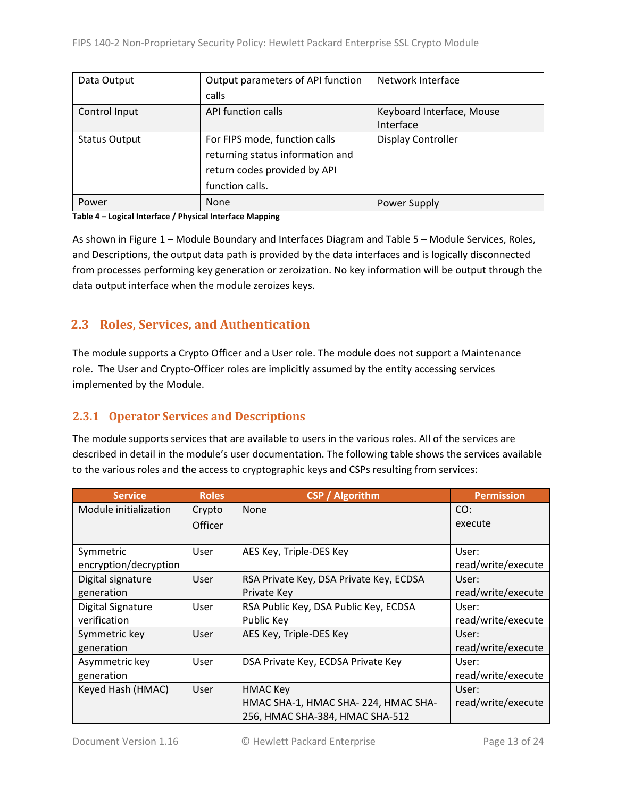| Data Output          | Output parameters of API function | Network Interface         |  |
|----------------------|-----------------------------------|---------------------------|--|
|                      | calls                             |                           |  |
| Control Input        | API function calls                | Keyboard Interface, Mouse |  |
|                      |                                   | Interface                 |  |
| <b>Status Output</b> | For FIPS mode, function calls     | <b>Display Controller</b> |  |
|                      | returning status information and  |                           |  |
|                      | return codes provided by API      |                           |  |
|                      | function calls.                   |                           |  |
| Power                | None                              | Power Supply              |  |

#### **Table 4 – Logical Interface / Physical Interface Mapping**

As shown in Figure 1 – [Module Boundary and Interfaces Diagram](#page-11-0) and Table 5 – Module [Services, Roles,](#page-13-3) [and Descriptions,](#page-13-3) the output data path is provided by the data interfaces and is logically disconnected from processes performing key generation or zeroization. No key information will be output through the data output interface when the module zeroizes keys.

### <span id="page-12-0"></span>**2.3 Roles, Services, and Authentication**

The module supports a Crypto Officer and a User role. The module does not support a Maintenance role. The User and Crypto-Officer roles are implicitly assumed by the entity accessing services implemented by the Module.

#### <span id="page-12-1"></span>**2.3.1 Operator Services and Descriptions**

The module supports services that are available to users in the various roles. All of the services are described in detail in the module's user documentation. The following table shows the services available to the various roles and the access to cryptographic keys and CSPs resulting from services:

| <b>Service</b>        | <b>Roles</b> | <b>CSP</b> / Algorithm                  | <b>Permission</b>  |
|-----------------------|--------------|-----------------------------------------|--------------------|
| Module initialization | Crypto       | None                                    | CO:                |
|                       | Officer      |                                         | execute            |
|                       |              |                                         |                    |
| Symmetric             | <b>User</b>  | AES Key, Triple-DES Key                 | User:              |
| encryption/decryption |              |                                         | read/write/execute |
| Digital signature     | <b>User</b>  | RSA Private Key, DSA Private Key, ECDSA | User:              |
| generation            |              | Private Key                             | read/write/execute |
| Digital Signature     | <b>User</b>  | RSA Public Key, DSA Public Key, ECDSA   | User:              |
| verification          |              | Public Key                              | read/write/execute |
| Symmetric key         | User         | AES Key, Triple-DES Key                 | User:              |
| generation            |              |                                         | read/write/execute |
| Asymmetric key        | <b>User</b>  | DSA Private Key, ECDSA Private Key      | User:              |
| generation            |              |                                         | read/write/execute |
| Keyed Hash (HMAC)     | User         | <b>HMAC Key</b>                         | User:              |
|                       |              | HMAC SHA-1, HMAC SHA-224, HMAC SHA-     | read/write/execute |
|                       |              | 256, HMAC SHA-384, HMAC SHA-512         |                    |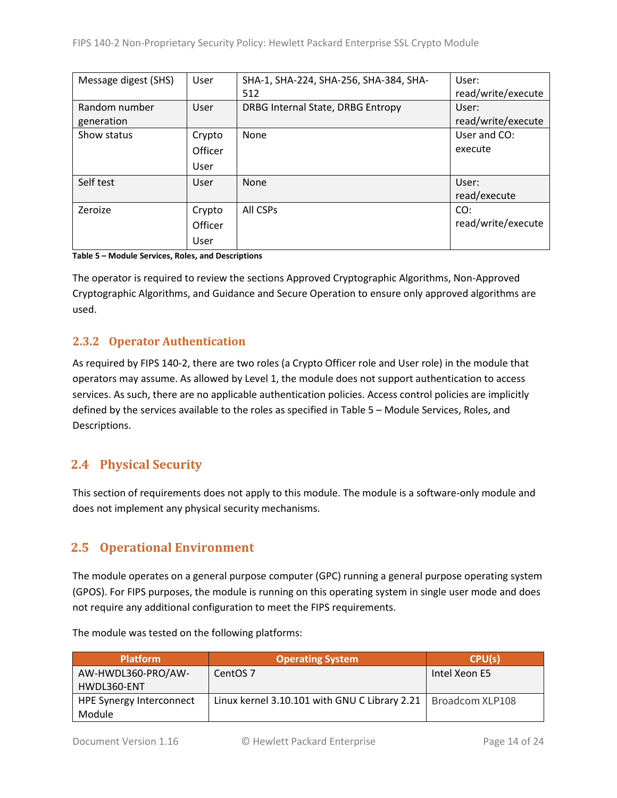| Message digest (SHS) | User    | SHA-1, SHA-224, SHA-256, SHA-384, SHA- | User:              |
|----------------------|---------|----------------------------------------|--------------------|
|                      |         | 512                                    | read/write/execute |
| Random number        | User    | DRBG Internal State, DRBG Entropy      | User:              |
| generation           |         |                                        | read/write/execute |
| Show status          | Crypto  | None                                   | User and CO:       |
|                      | Officer |                                        | execute            |
|                      | User    |                                        |                    |
| Self test            | User    | None                                   | User:              |
|                      |         |                                        | read/execute       |
| Zeroize              | Crypto  | All CSPs                               | CO:                |
|                      | Officer |                                        | read/write/execute |
|                      | User    |                                        |                    |

<span id="page-13-3"></span>**Table 5 – Module Services, Roles, and Descriptions**

The operator is required to review the sections Approved Cryptographic Algorithms, Non-Approved Cryptographic Algorithms, and Guidance and Secure Operation to ensure only approved algorithms are used.

#### <span id="page-13-0"></span>**2.3.2 Operator Authentication**

As required by FIPS 140-2, there are two roles (a Crypto Officer role and User role) in the module that operators may assume. As allowed by Level 1, the module does not support authentication to access services. As such, there are no applicable authentication policies. Access control policies are implicitly defined by the services available to the roles as specified in Table 5 – Module [Services, Roles,](#page-13-3) and [Descriptions.](#page-13-3)

## <span id="page-13-1"></span>**2.4 Physical Security**

This section of requirements does not apply to this module. The module is a software-only module and does not implement any physical security mechanisms.

## <span id="page-13-2"></span>**2.5 Operational Environment**

The module operates on a general purpose computer (GPC) running a general purpose operating system (GPOS). For FIPS purposes, the module is running on this operating system in single user mode and does not require any additional configuration to meet the FIPS requirements.

| <b>Platform</b>          | <b>Operating System</b>                                         | CPU(s)        |
|--------------------------|-----------------------------------------------------------------|---------------|
| AW-HWDL360-PRO/AW-       | CentOS <sub>7</sub>                                             | Intel Xeon E5 |
| HWDL360-ENT              |                                                                 |               |
| HPE Synergy Interconnect | Linux kernel 3.10.101 with GNU C Library 2.21   Broadcom XLP108 |               |
| Module                   |                                                                 |               |

The module was tested on the following platforms: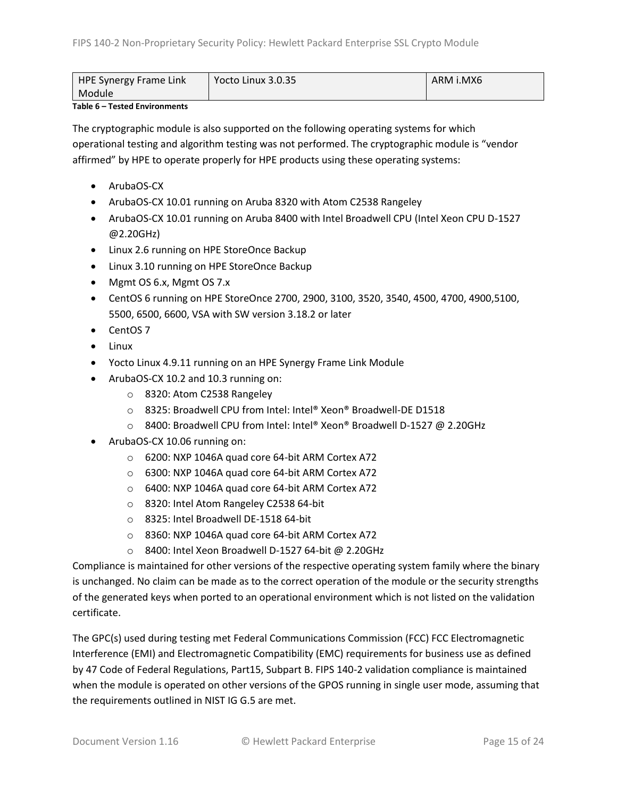| <b>HPE Synergy Frame Link</b> | Yocto Linux $3.0.35$ | ARM i.MX6 |
|-------------------------------|----------------------|-----------|
| Module                        |                      |           |

#### **Table 6 – Tested Environments**

The cryptographic module is also supported on the following operating systems for which operational testing and algorithm testing was not performed. The cryptographic module is "vendor affirmed" by HPE to operate properly for HPE products using these operating systems:

- ArubaOS-CX
- ArubaOS-CX 10.01 running on Aruba 8320 with Atom C2538 Rangeley
- ArubaOS-CX 10.01 running on Aruba 8400 with Intel Broadwell CPU (Intel Xeon CPU D-1527 @2.20GHz)
- Linux 2.6 running on HPE StoreOnce Backup
- Linux 3.10 running on HPE StoreOnce Backup
- Mgmt OS 6.x, Mgmt OS 7.x
- CentOS 6 running on HPE StoreOnce 2700, 2900, 3100, 3520, 3540, 4500, 4700, 4900,5100, 5500, 6500, 6600, VSA with SW version 3.18.2 or later
- CentOS 7
- Linux
- Yocto Linux 4.9.11 running on an HPE Synergy Frame Link Module
- ArubaOS-CX 10.2 and 10.3 running on:
	- o 8320: Atom C2538 Rangeley
	- o 8325: Broadwell CPU from Intel: Intel® Xeon® Broadwell-DE D1518
	- o 8400: Broadwell CPU from Intel: Intel® Xeon® Broadwell D-1527 @ 2.20GHz
- ArubaOS-CX 10.06 running on:
	- o 6200: NXP 1046A quad core 64-bit ARM Cortex A72
	- o 6300: NXP 1046A quad core 64-bit ARM Cortex A72
	- o 6400: NXP 1046A quad core 64-bit ARM Cortex A72
	- o 8320: Intel Atom Rangeley C2538 64-bit
	- o 8325: Intel Broadwell DE-1518 64-bit
	- o 8360: NXP 1046A quad core 64-bit ARM Cortex A72
	- o 8400: Intel Xeon Broadwell D-1527 64-bit @ 2.20GHz

Compliance is maintained for other versions of the respective operating system family where the binary is unchanged. No claim can be made as to the correct operation of the module or the security strengths of the generated keys when ported to an operational environment which is not listed on the validation certificate.

The GPC(s) used during testing met Federal Communications Commission (FCC) FCC Electromagnetic Interference (EMI) and Electromagnetic Compatibility (EMC) requirements for business use as defined by 47 Code of Federal Regulations, Part15, Subpart B. FIPS 140-2 validation compliance is maintained when the module is operated on other versions of the GPOS running in single user mode, assuming that the requirements outlined in NIST IG G.5 are met.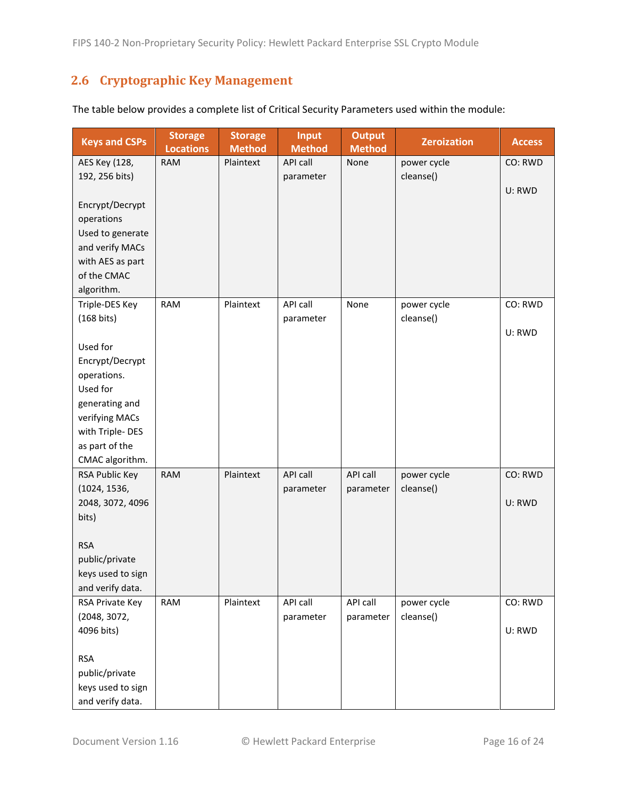## <span id="page-15-0"></span>**2.6 Cryptographic Key Management**

| <b>Keys and CSPs</b> | <b>Storage</b><br><b>Locations</b> | <b>Storage</b><br><b>Method</b> | <b>Input</b><br><b>Method</b> | <b>Output</b><br><b>Method</b> | <b>Zeroization</b> | <b>Access</b> |
|----------------------|------------------------------------|---------------------------------|-------------------------------|--------------------------------|--------------------|---------------|
| AES Key (128,        | <b>RAM</b>                         | Plaintext                       | API call                      | None                           | power cycle        | CO: RWD       |
| 192, 256 bits)       |                                    |                                 | parameter                     |                                | cleanse()          |               |
|                      |                                    |                                 |                               |                                |                    | U: RWD        |
| Encrypt/Decrypt      |                                    |                                 |                               |                                |                    |               |
| operations           |                                    |                                 |                               |                                |                    |               |
| Used to generate     |                                    |                                 |                               |                                |                    |               |
| and verify MACs      |                                    |                                 |                               |                                |                    |               |
| with AES as part     |                                    |                                 |                               |                                |                    |               |
| of the CMAC          |                                    |                                 |                               |                                |                    |               |
| algorithm.           |                                    |                                 |                               |                                |                    |               |
| Triple-DES Key       | <b>RAM</b>                         | Plaintext                       | API call                      | None                           | power cycle        | CO: RWD       |
| (168 bits)           |                                    |                                 | parameter                     |                                | cleanse()          |               |
|                      |                                    |                                 |                               |                                |                    | U: RWD        |
| Used for             |                                    |                                 |                               |                                |                    |               |
| Encrypt/Decrypt      |                                    |                                 |                               |                                |                    |               |
| operations.          |                                    |                                 |                               |                                |                    |               |
| Used for             |                                    |                                 |                               |                                |                    |               |
| generating and       |                                    |                                 |                               |                                |                    |               |
| verifying MACs       |                                    |                                 |                               |                                |                    |               |
| with Triple-DES      |                                    |                                 |                               |                                |                    |               |
| as part of the       |                                    |                                 |                               |                                |                    |               |
| CMAC algorithm.      |                                    |                                 |                               |                                |                    |               |
| RSA Public Key       | <b>RAM</b>                         | Plaintext                       | API call                      | API call                       | power cycle        | CO: RWD       |
| (1024, 1536,         |                                    |                                 | parameter                     | parameter                      | cleanse()          |               |
| 2048, 3072, 4096     |                                    |                                 |                               |                                |                    | U: RWD        |
| bits)                |                                    |                                 |                               |                                |                    |               |
|                      |                                    |                                 |                               |                                |                    |               |
| <b>RSA</b>           |                                    |                                 |                               |                                |                    |               |
| public/private       |                                    |                                 |                               |                                |                    |               |
| keys used to sign    |                                    |                                 |                               |                                |                    |               |
| and verify data.     |                                    |                                 |                               |                                |                    |               |
| RSA Private Key      | RAM                                | Plaintext                       | API call                      | API call                       | power cycle        | CO: RWD       |
| (2048, 3072,         |                                    |                                 | parameter                     | parameter                      | cleanse()          |               |
| 4096 bits)           |                                    |                                 |                               |                                |                    | U: RWD        |
|                      |                                    |                                 |                               |                                |                    |               |
| <b>RSA</b>           |                                    |                                 |                               |                                |                    |               |
| public/private       |                                    |                                 |                               |                                |                    |               |
| keys used to sign    |                                    |                                 |                               |                                |                    |               |
| and verify data.     |                                    |                                 |                               |                                |                    |               |

The table below provides a complete list of Critical Security Parameters used within the module: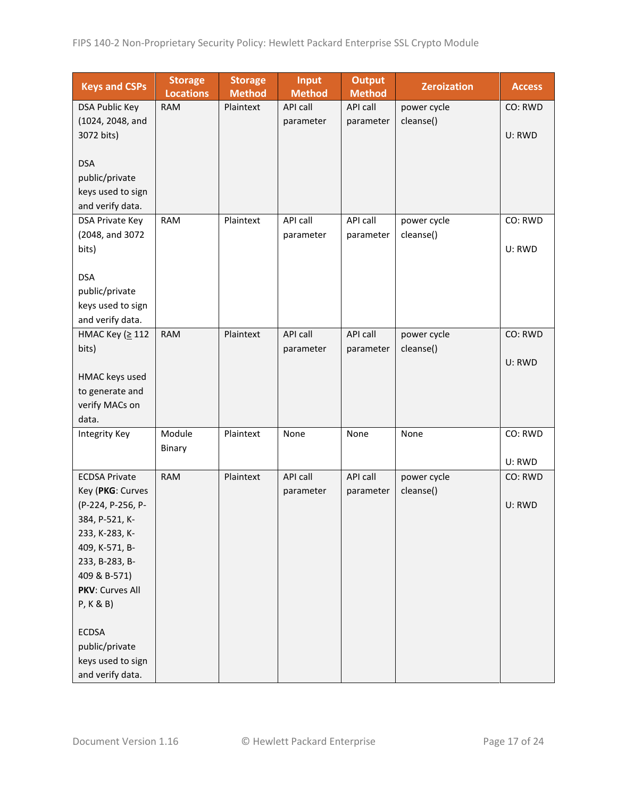| <b>Keys and CSPs</b>   | <b>Storage</b><br><b>Locations</b> | <b>Storage</b><br><b>Method</b> | <b>Input</b><br><b>Method</b> | <b>Output</b><br><b>Method</b> | <b>Zeroization</b> | <b>Access</b> |
|------------------------|------------------------------------|---------------------------------|-------------------------------|--------------------------------|--------------------|---------------|
| <b>DSA Public Key</b>  | <b>RAM</b>                         | Plaintext                       | API call                      | API call                       | power cycle        | CO: RWD       |
| (1024, 2048, and       |                                    |                                 | parameter                     | parameter                      | cleanse()          |               |
| 3072 bits)             |                                    |                                 |                               |                                |                    | U: RWD        |
|                        |                                    |                                 |                               |                                |                    |               |
| <b>DSA</b>             |                                    |                                 |                               |                                |                    |               |
| public/private         |                                    |                                 |                               |                                |                    |               |
| keys used to sign      |                                    |                                 |                               |                                |                    |               |
| and verify data.       |                                    |                                 |                               |                                |                    |               |
| <b>DSA Private Key</b> | <b>RAM</b>                         | Plaintext                       | API call                      | API call                       | power cycle        | CO: RWD       |
| (2048, and 3072        |                                    |                                 | parameter                     | parameter                      | cleanse()          |               |
| bits)                  |                                    |                                 |                               |                                |                    | U: RWD        |
|                        |                                    |                                 |                               |                                |                    |               |
| <b>DSA</b>             |                                    |                                 |                               |                                |                    |               |
| public/private         |                                    |                                 |                               |                                |                    |               |
| keys used to sign      |                                    |                                 |                               |                                |                    |               |
| and verify data.       |                                    |                                 |                               |                                |                    |               |
| НМАС Кеу (≥ 112        | <b>RAM</b>                         | Plaintext                       | <b>API call</b>               | API call                       | power cycle        | CO: RWD       |
| bits)                  |                                    |                                 | parameter                     | parameter                      | cleanse()          |               |
|                        |                                    |                                 |                               |                                |                    | U: RWD        |
| HMAC keys used         |                                    |                                 |                               |                                |                    |               |
| to generate and        |                                    |                                 |                               |                                |                    |               |
| verify MACs on         |                                    |                                 |                               |                                |                    |               |
| data.                  |                                    |                                 |                               |                                |                    |               |
| Integrity Key          | Module                             | Plaintext                       | None                          | None                           | None               | CO: RWD       |
|                        | Binary                             |                                 |                               |                                |                    |               |
|                        |                                    |                                 |                               |                                |                    | U: RWD        |
| <b>ECDSA Private</b>   | <b>RAM</b>                         | Plaintext                       | API call                      | API call                       | power cycle        | CO: RWD       |
| Key (PKG: Curves       |                                    |                                 | parameter                     | parameter                      | cleanse()          |               |
| (P-224, P-256, P-      |                                    |                                 |                               |                                |                    | U: RWD        |
| 384, P-521, K-         |                                    |                                 |                               |                                |                    |               |
| 233, K-283, K-         |                                    |                                 |                               |                                |                    |               |
| 409, K-571, B-         |                                    |                                 |                               |                                |                    |               |
| 233, B-283, B-         |                                    |                                 |                               |                                |                    |               |
| 409 & B-571)           |                                    |                                 |                               |                                |                    |               |
| PKV: Curves All        |                                    |                                 |                               |                                |                    |               |
| P, K & B)              |                                    |                                 |                               |                                |                    |               |
|                        |                                    |                                 |                               |                                |                    |               |
| <b>ECDSA</b>           |                                    |                                 |                               |                                |                    |               |
| public/private         |                                    |                                 |                               |                                |                    |               |
| keys used to sign      |                                    |                                 |                               |                                |                    |               |
| and verify data.       |                                    |                                 |                               |                                |                    |               |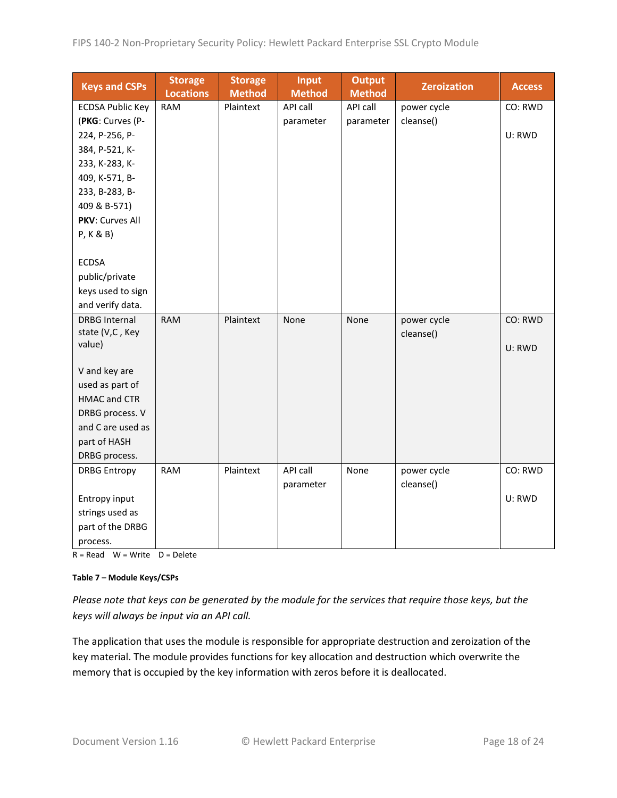| <b>Keys and CSPs</b>                   | <b>Storage</b><br><b>Locations</b> | <b>Storage</b><br><b>Method</b> | <b>Input</b><br><b>Method</b> | <b>Output</b><br><b>Method</b> | <b>Zeroization</b> | <b>Access</b> |
|----------------------------------------|------------------------------------|---------------------------------|-------------------------------|--------------------------------|--------------------|---------------|
| <b>ECDSA Public Key</b>                | <b>RAM</b>                         | Plaintext                       | API call                      | API call                       | power cycle        | CO: RWD       |
| (PKG: Curves (P-                       |                                    |                                 | parameter                     | parameter                      | cleanse()          |               |
| 224, P-256, P-                         |                                    |                                 |                               |                                |                    | U: RWD        |
| 384, P-521, K-                         |                                    |                                 |                               |                                |                    |               |
| 233, K-283, K-                         |                                    |                                 |                               |                                |                    |               |
| 409, K-571, B-                         |                                    |                                 |                               |                                |                    |               |
| 233, B-283, B-                         |                                    |                                 |                               |                                |                    |               |
| 409 & B-571)                           |                                    |                                 |                               |                                |                    |               |
| PKV: Curves All                        |                                    |                                 |                               |                                |                    |               |
| P, K & B)                              |                                    |                                 |                               |                                |                    |               |
|                                        |                                    |                                 |                               |                                |                    |               |
| <b>ECDSA</b>                           |                                    |                                 |                               |                                |                    |               |
| public/private                         |                                    |                                 |                               |                                |                    |               |
| keys used to sign                      |                                    |                                 |                               |                                |                    |               |
| and verify data.                       |                                    |                                 |                               |                                |                    |               |
| <b>DRBG Internal</b>                   | <b>RAM</b>                         | Plaintext                       | None                          | None                           | power cycle        | CO: RWD       |
| state (V,C, Key                        |                                    |                                 |                               |                                | cleanse()          |               |
| value)                                 |                                    |                                 |                               |                                |                    | U: RWD        |
|                                        |                                    |                                 |                               |                                |                    |               |
| V and key are                          |                                    |                                 |                               |                                |                    |               |
| used as part of<br><b>HMAC and CTR</b> |                                    |                                 |                               |                                |                    |               |
| DRBG process. V                        |                                    |                                 |                               |                                |                    |               |
| and C are used as                      |                                    |                                 |                               |                                |                    |               |
| part of HASH                           |                                    |                                 |                               |                                |                    |               |
| DRBG process.                          |                                    |                                 |                               |                                |                    |               |
| <b>DRBG Entropy</b>                    | <b>RAM</b>                         | Plaintext                       | API call                      | None                           | power cycle        | CO: RWD       |
|                                        |                                    |                                 | parameter                     |                                | cleanse()          |               |
| Entropy input                          |                                    |                                 |                               |                                |                    | U: RWD        |
| strings used as                        |                                    |                                 |                               |                                |                    |               |
| part of the DRBG                       |                                    |                                 |                               |                                |                    |               |
|                                        |                                    |                                 |                               |                                |                    |               |
| process.                               |                                    |                                 |                               |                                |                    |               |

 $R = Read \tW = Write \tD = Delete$ 

#### **Table 7 – Module Keys/CSPs**

*Please note that keys can be generated by the module for the services that require those keys, but the keys will always be input via an API call.*

The application that uses the module is responsible for appropriate destruction and zeroization of the key material. The module provides functions for key allocation and destruction which overwrite the memory that is occupied by the key information with zeros before it is deallocated.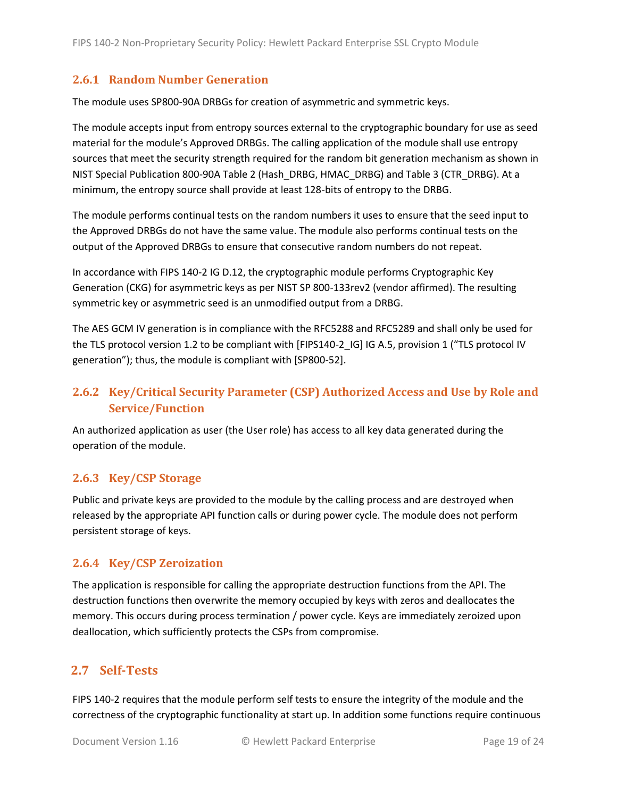#### <span id="page-18-0"></span>**2.6.1 Random Number Generation**

The module uses SP800-90A DRBGs for creation of asymmetric and symmetric keys.

The module accepts input from entropy sources external to the cryptographic boundary for use as seed material for the module's Approved DRBGs. The calling application of the module shall use entropy sources that meet the security strength required for the random bit generation mechanism as shown in NIST Special Publication 800-90A Table 2 (Hash\_DRBG, HMAC\_DRBG) and Table 3 (CTR\_DRBG). At a minimum, the entropy source shall provide at least 128-bits of entropy to the DRBG.

The module performs continual tests on the random numbers it uses to ensure that the seed input to the Approved DRBGs do not have the same value. The module also performs continual tests on the output of the Approved DRBGs to ensure that consecutive random numbers do not repeat.

In accordance with FIPS 140-2 IG D.12, the cryptographic module performs Cryptographic Key Generation (CKG) for asymmetric keys as per NIST SP 800-133rev2 (vendor affirmed). The resulting symmetric key or asymmetric seed is an unmodified output from a DRBG.

The AES GCM IV generation is in compliance with the RFC5288 and RFC5289 and shall only be used for the TLS protocol version 1.2 to be compliant with [FIPS140-2 IG] IG A.5, provision 1 ("TLS protocol IV generation"); thus, the module is compliant with [SP800-52].

### <span id="page-18-1"></span>**2.6.2 Key/Critical Security Parameter (CSP) Authorized Access and Use by Role and Service/Function**

An authorized application as user (the User role) has access to all key data generated during the operation of the module.

#### <span id="page-18-2"></span>**2.6.3 Key/CSP Storage**

Public and private keys are provided to the module by the calling process and are destroyed when released by the appropriate API function calls or during power cycle. The module does not perform persistent storage of keys.

#### <span id="page-18-3"></span>**2.6.4 Key/CSP Zeroization**

The application is responsible for calling the appropriate destruction functions from the API. The destruction functions then overwrite the memory occupied by keys with zeros and deallocates the memory. This occurs during process termination / power cycle. Keys are immediately zeroized upon deallocation, which sufficiently protects the CSPs from compromise.

#### <span id="page-18-4"></span>**2.7 Self-Tests**

FIPS 140-2 requires that the module perform self tests to ensure the integrity of the module and the correctness of the cryptographic functionality at start up. In addition some functions require continuous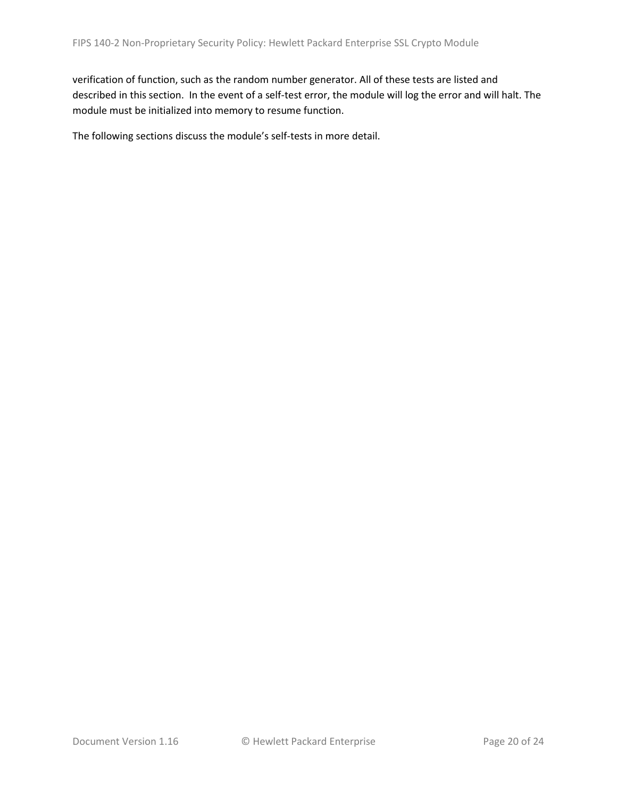verification of function, such as the random number generator. All of these tests are listed and described in this section. In the event of a self-test error, the module will log the error and will halt. The module must be initialized into memory to resume function.

The following sections discuss the module's self-tests in more detail.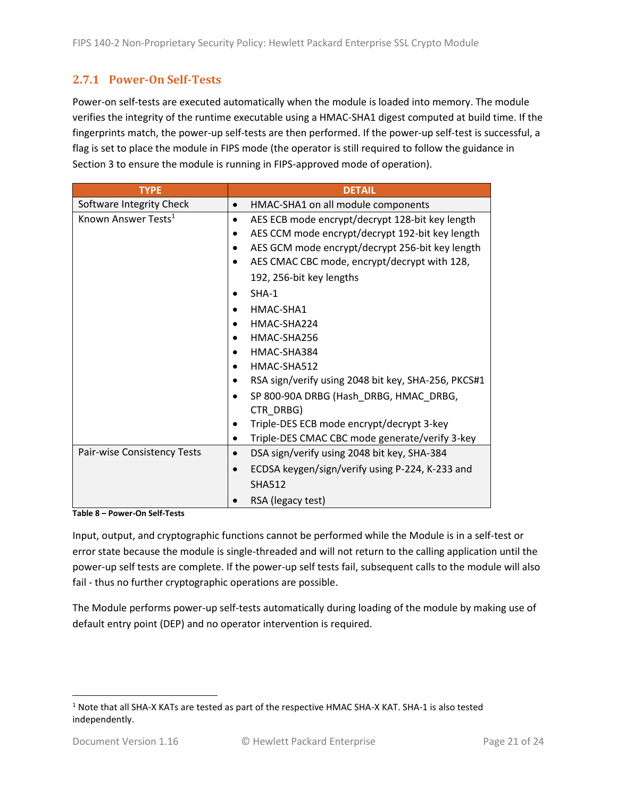#### <span id="page-20-0"></span>**2.7.1 Power-On Self-Tests**

Power-on self-tests are executed automatically when the module is loaded into memory. The module verifies the integrity of the runtime executable using a HMAC-SHA1 digest computed at build time. If the fingerprints match, the power-up self-tests are then performed. If the power-up self-test is successful, a flag is set to place the module in FIPS mode (the operator is still required to follow the guidance in Section 3 to ensure the module is running in FIPS-approved mode of operation).

| <b>TYPE</b>                     | <b>DETAIL</b>                                            |
|---------------------------------|----------------------------------------------------------|
| Software Integrity Check        | HMAC-SHA1 on all module components                       |
| Known Answer Tests <sup>1</sup> | AES ECB mode encrypt/decrypt 128-bit key length          |
|                                 | AES CCM mode encrypt/decrypt 192-bit key length          |
|                                 | AES GCM mode encrypt/decrypt 256-bit key length          |
|                                 | AES CMAC CBC mode, encrypt/decrypt with 128,             |
|                                 | 192, 256-bit key lengths                                 |
|                                 | $SHA-1$                                                  |
|                                 | HMAC-SHA1                                                |
|                                 | HMAC-SHA224                                              |
|                                 | HMAC-SHA256                                              |
|                                 | HMAC-SHA384                                              |
|                                 | HMAC-SHA512                                              |
|                                 | RSA sign/verify using 2048 bit key, SHA-256, PKCS#1      |
|                                 | SP 800-90A DRBG (Hash DRBG, HMAC DRBG,                   |
|                                 | CTR DRBG)                                                |
|                                 | Triple-DES ECB mode encrypt/decrypt 3-key                |
|                                 | Triple-DES CMAC CBC mode generate/verify 3-key           |
| Pair-wise Consistency Tests     | DSA sign/verify using 2048 bit key, SHA-384<br>$\bullet$ |
|                                 | ECDSA keygen/sign/verify using P-224, K-233 and          |
|                                 | <b>SHA512</b>                                            |
|                                 | RSA (legacy test)                                        |

**Table 8 – Power-On Self-Tests**

Input, output, and cryptographic functions cannot be performed while the Module is in a self-test or error state because the module is single-threaded and will not return to the calling application until the power-up self tests are complete. If the power-up self tests fail, subsequent calls to the module will also fail - thus no further cryptographic operations are possible.

The Module performs power-up self-tests automatically during loading of the module by making use of default entry point (DEP) and no operator intervention is required.

<sup>1</sup> Note that all SHA-X KATs are tested as part of the respective HMAC SHA-X KAT. SHA-1 is also tested independently.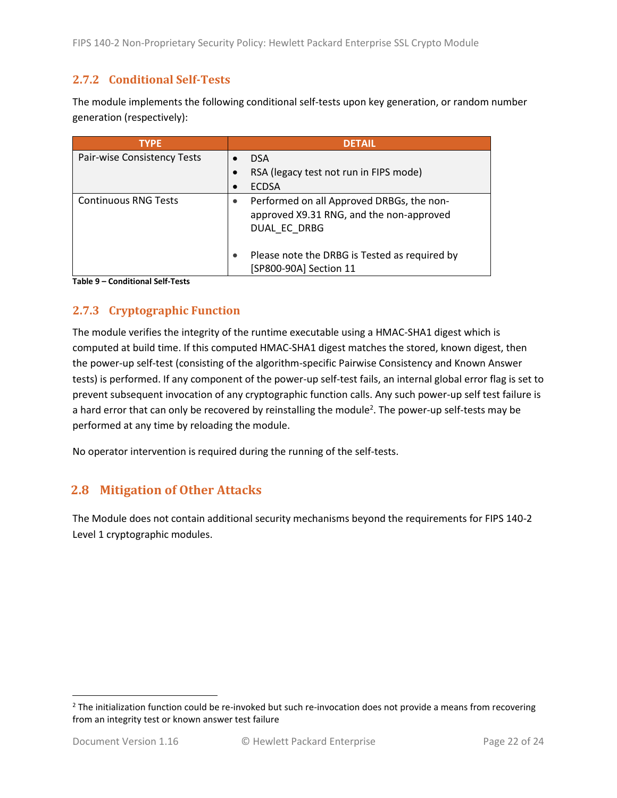#### <span id="page-21-0"></span>**2.7.2 Conditional Self-Tests**

The module implements the following conditional self-tests upon key generation, or random number generation (respectively):

| <b>TYPE</b>                 | <b>DETAIL</b>                                                                                         |
|-----------------------------|-------------------------------------------------------------------------------------------------------|
| Pair-wise Consistency Tests | <b>DSA</b>                                                                                            |
|                             | RSA (legacy test not run in FIPS mode)                                                                |
|                             | <b>ECDSA</b>                                                                                          |
| <b>Continuous RNG Tests</b> | Performed on all Approved DRBGs, the non-<br>approved X9.31 RNG, and the non-approved<br>DUAL EC DRBG |
|                             | Please note the DRBG is Tested as required by<br>[SP800-90A] Section 11                               |

**Table 9 – Conditional Self-Tests**

### <span id="page-21-1"></span>**2.7.3 Cryptographic Function**

The module verifies the integrity of the runtime executable using a HMAC-SHA1 digest which is computed at build time. If this computed HMAC-SHA1 digest matches the stored, known digest, then the power-up self-test (consisting of the algorithm-specific Pairwise Consistency and Known Answer tests) is performed. If any component of the power-up self-test fails, an internal global error flag is set to prevent subsequent invocation of any cryptographic function calls. Any such power-up self test failure is a hard error that can only be recovered by reinstalling the module<sup>2</sup>. The power-up self-tests may be performed at any time by reloading the module.

No operator intervention is required during the running of the self-tests.

### <span id="page-21-2"></span>**2.8 Mitigation of Other Attacks**

The Module does not contain additional security mechanisms beyond the requirements for FIPS 140-2 Level 1 cryptographic modules.

 $2$  The initialization function could be re-invoked but such re-invocation does not provide a means from recovering from an integrity test or known answer test failure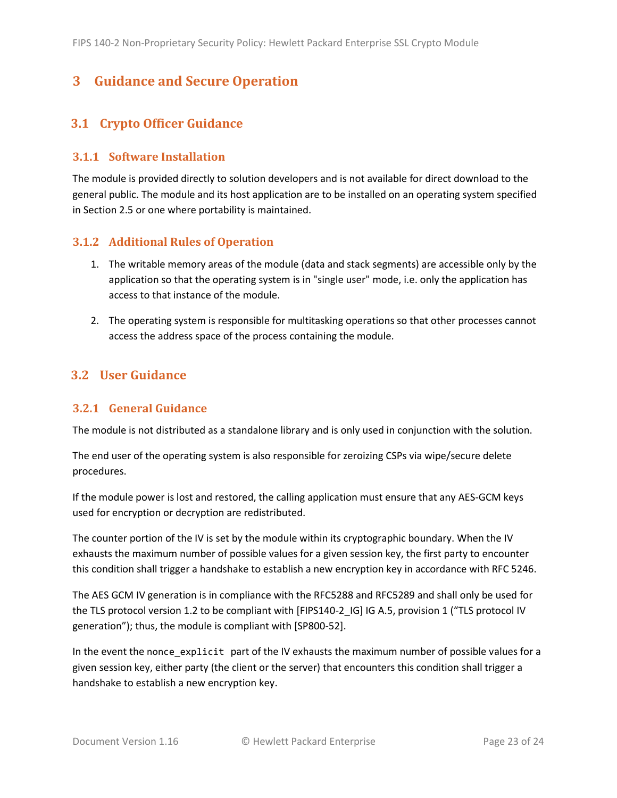## <span id="page-22-0"></span>**3 Guidance and Secure Operation**

### <span id="page-22-1"></span>**3.1 Crypto Officer Guidance**

#### <span id="page-22-2"></span>**3.1.1 Software Installation**

The module is provided directly to solution developers and is not available for direct download to the general public. The module and its host application are to be installed on an operating system specified in Section [2.5](#page-13-2) or one where portability is maintained.

#### <span id="page-22-3"></span>**3.1.2 Additional Rules of Operation**

- 1. The writable memory areas of the module (data and stack segments) are accessible only by the application so that the operating system is in "single user" mode, i.e. only the application has access to that instance of the module.
- 2. The operating system is responsible for multitasking operations so that other processes cannot access the address space of the process containing the module.

#### <span id="page-22-4"></span>**3.2 User Guidance**

#### <span id="page-22-5"></span>**3.2.1 General Guidance**

The module is not distributed as a standalone library and is only used in conjunction with the solution.

The end user of the operating system is also responsible for zeroizing CSPs via wipe/secure delete procedures.

If the module power is lost and restored, the calling application must ensure that any AES-GCM keys used for encryption or decryption are redistributed.

The counter portion of the IV is set by the module within its cryptographic boundary. When the IV exhausts the maximum number of possible values for a given session key, the first party to encounter this condition shall trigger a handshake to establish a new encryption key in accordance with RFC 5246.

The AES GCM IV generation is in compliance with the RFC5288 and RFC5289 and shall only be used for the TLS protocol version 1.2 to be compliant with [FIPS140-2 IG] IG A.5, provision 1 ("TLS protocol IV generation"); thus, the module is compliant with [SP800-52].

In the event the nonce\_explicit part of the IV exhausts the maximum number of possible values for a given session key, either party (the client or the server) that encounters this condition shall trigger a handshake to establish a new encryption key.